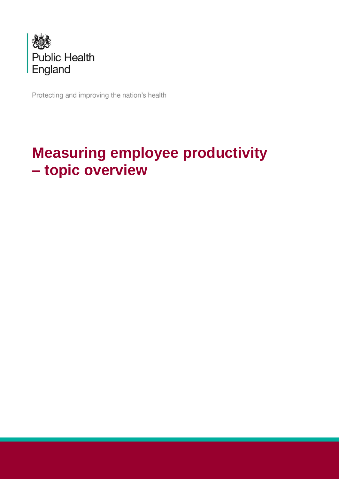

Protecting and improving the nation's health

# **Measuring employee productivity – topic overview**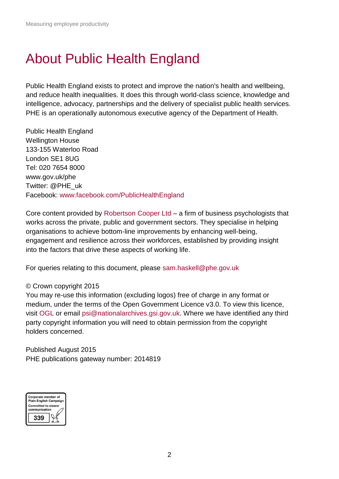### <span id="page-1-0"></span>About Public Health England

Public Health England exists to protect and improve the nation's health and wellbeing, and reduce health inequalities. It does this through world-class science, knowledge and intelligence, advocacy, partnerships and the delivery of specialist public health services. PHE is an operationally autonomous executive agency of the Department of Health.

Public Health England Wellington House 133-155 Waterloo Road London SE1 8UG Tel: 020 7654 8000 [www.gov.uk/phe](http://www.gov.uk/phe) Twitter: [@PHE\\_uk](https://twitter.com/PHE_uk) Facebook: [www.facebook.com/PublicHealthEngland](http://www.facebook.com/PublicHealthEngland)

Core content provided by Robertson Cooper Ltd – a firm of business psychologists that works across the private, public and government sectors. They specialise in helping organisations to achieve bottom-line improvements by enhancing well-being, engagement and resilience across their workforces, established by providing insight into the factors that drive these aspects of working life.

For queries relating to this document, please [sam.haskell@phe.gov.uk](mailto:sam.haskell@phe.gov.uk)

#### © Crown copyright 2015

You may re-use this information (excluding logos) free of charge in any format or medium, under the terms of the Open Government Licence v3.0. To view this licence, visit [OGL](https://www.nationalarchives.gov.uk/doc/open-government-licence/version/2/) or email [psi@nationalarchives.gsi.gov.uk.](mailto:psi@nationalarchives.gsi.gov.uk) Where we have identified any third party copyright information you will need to obtain permission from the copyright holders concerned.

Published August 2015 PHE publications gateway number: 2014819

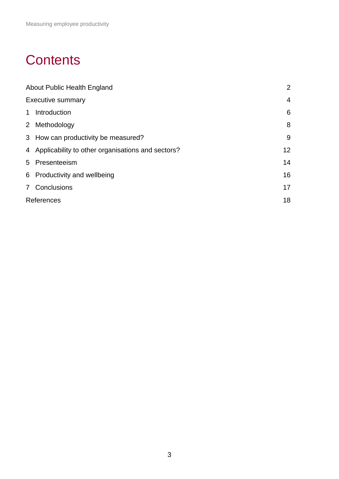## **Contents**

| About Public Health England |                                                     | $\overline{2}$  |
|-----------------------------|-----------------------------------------------------|-----------------|
| <b>Executive summary</b>    |                                                     | $\overline{4}$  |
| 1                           | Introduction                                        | 6               |
|                             | 2 Methodology                                       | 8               |
|                             | 3 How can productivity be measured?                 | 9               |
|                             | 4 Applicability to other organisations and sectors? | 12 <sup>2</sup> |
|                             | 5 Presenteeism                                      | 14              |
|                             | 6 Productivity and wellbeing                        | 16              |
| 7 <sup>7</sup>              | Conclusions                                         | 17              |
| References                  |                                                     | 18              |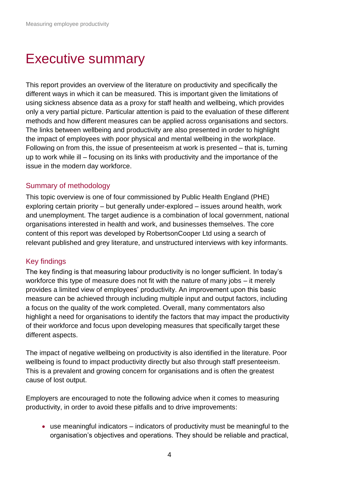### <span id="page-3-0"></span>Executive summary

This report provides an overview of the literature on productivity and specifically the different ways in which it can be measured. This is important given the limitations of using sickness absence data as a proxy for staff health and wellbeing, which provides only a very partial picture. Particular attention is paid to the evaluation of these different methods and how different measures can be applied across organisations and sectors. The links between wellbeing and productivity are also presented in order to highlight the impact of employees with poor physical and mental wellbeing in the workplace. Following on from this, the issue of presenteeism at work is presented – that is, turning up to work while ill – focusing on its links with productivity and the importance of the issue in the modern day workforce.

#### Summary of methodology

This topic overview is one of four commissioned by Public Health England (PHE) exploring certain priority – but generally under-explored – issues around health, work and unemployment. The target audience is a combination of local government, national organisations interested in health and work, and businesses themselves. The core content of this report was developed by RobertsonCooper Ltd using a search of relevant published and grey literature, and unstructured interviews with key informants.

#### Key findings

The key finding is that measuring labour productivity is no longer sufficient. In today's workforce this type of measure does not fit with the nature of many jobs – it merely provides a limited view of employees' productivity. An improvement upon this basic measure can be achieved through including multiple input and output factors, including a focus on the quality of the work completed. Overall, many commentators also highlight a need for organisations to identify the factors that may impact the productivity of their workforce and focus upon developing measures that specifically target these different aspects.

The impact of negative wellbeing on productivity is also identified in the literature. Poor wellbeing is found to impact productivity directly but also through staff presenteeism. This is a prevalent and growing concern for organisations and is often the greatest cause of lost output.

Employers are encouraged to note the following advice when it comes to measuring productivity, in order to avoid these pitfalls and to drive improvements:

 use meaningful indicators – indicators of productivity must be meaningful to the organisation's objectives and operations. They should be reliable and practical,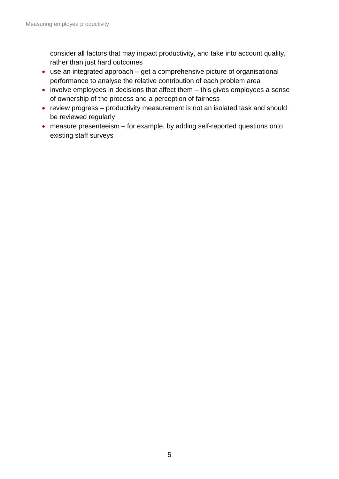consider all factors that may impact productivity, and take into account quality, rather than just hard outcomes

- use an integrated approach get a comprehensive picture of organisational performance to analyse the relative contribution of each problem area
- involve employees in decisions that affect them this gives employees a sense of ownership of the process and a perception of fairness
- review progress productivity measurement is not an isolated task and should be reviewed regularly
- measure presenteeism for example, by adding self-reported questions onto existing staff surveys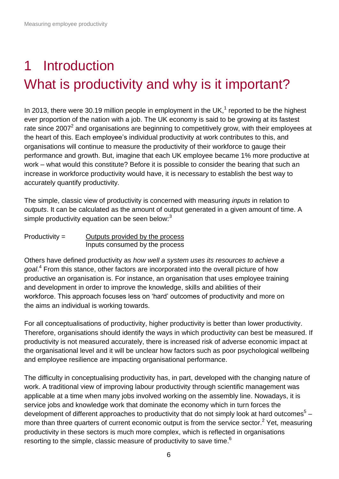# <span id="page-5-0"></span>1 Introduction What is productivity and why is it important?

<span id="page-5-1"></span>In 2013, there were 30.19 million people in employment in the UK,<sup>1</sup> reported to be the highest ever proportion of the nation with a job. The UK economy is said to be growing at its fastest rate since 2007<sup>2</sup> and organisations are beginning to competitively grow, with their employees at the heart of this. Each employee's individual productivity at work contributes to this, and organisations will continue to measure the productivity of their workforce to gauge their performance and growth. But, imagine that each UK employee became 1% more productive at work – what would this constitute? Before it is possible to consider the bearing that such an increase in workforce productivity would have, it is necessary to establish the best way to accurately quantify productivity.

The simple, classic view of productivity is concerned with measuring *inputs* in relation to *outputs*. It can be calculated as the amount of output generated in a given amount of time. A simple productivity equation can be seen below:<sup>3</sup>

 $Productivity =$  Outputs provided by the process Inputs consumed by the process

Others have defined productivity as *how well a system uses its resources to achieve a goal*. 4 From this stance, other factors are incorporated into the overall picture of how productive an organisation is. For instance, an organisation that uses employee training and development in order to improve the knowledge, skills and abilities of their workforce. This approach focuses less on 'hard' outcomes of productivity and more on the aims an individual is working towards.

For all conceptualisations of productivity, higher productivity is better than lower productivity. Therefore, organisations should identify the ways in which productivity can best be measured. If productivity is not measured accurately, there is increased risk of adverse economic impact at the organisational level and it will be unclear how factors such as poor psychological wellbeing and employee resilience are impacting organisational performance.

The difficulty in conceptualising productivity has, in part, developed with the changing nature of work. A traditional view of improving labour productivity through scientific management was applicable at a time when many jobs involved working on the assembly line. Nowadays, it is service jobs and knowledge work that dominate the economy which in turn forces the development of different approaches to productivity that do not simply look at hard outcomes $^5$  – more than three quarters of current economic output is from the service sector.<sup>[2](#page-5-1)</sup> Yet, measuring productivity in these sectors is much more complex, which is reflected in organisations resorting to the simple, classic measure of productivity to save time.<sup>6</sup>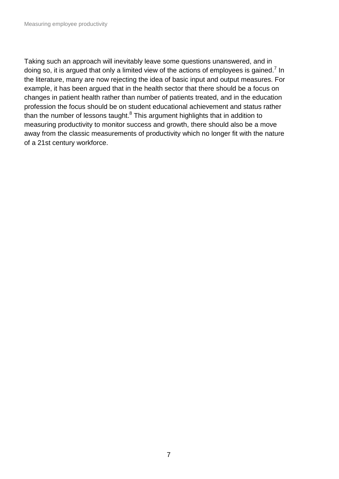Taking such an approach will inevitably leave some questions unanswered, and in doing so, it is argued that only a limited view of the actions of employees is gained.<sup>7</sup> In the literature, many are now rejecting the idea of basic input and output measures. For example, it has been argued that in the health sector that there should be a focus on changes in patient health rather than number of patients treated, and in the education profession the focus should be on student educational achievement and status rather than the number of lessons taught.<sup>8</sup> This argument highlights that in addition to measuring productivity to monitor success and growth, there should also be a move away from the classic measurements of productivity which no longer fit with the nature of a 21st century workforce.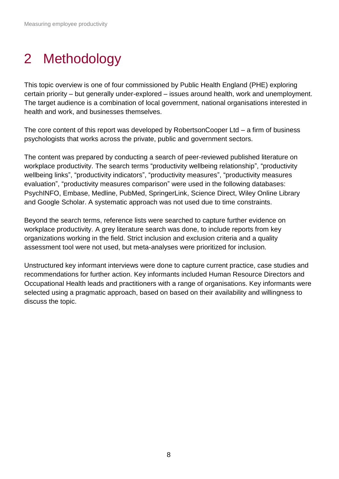# <span id="page-7-0"></span>2 Methodology

This topic overview is one of four commissioned by Public Health England (PHE) exploring certain priority – but generally under-explored – issues around health, work and unemployment. The target audience is a combination of local government, national organisations interested in health and work, and businesses themselves.

The core content of this report was developed by RobertsonCooper Ltd – a firm of business psychologists that works across the private, public and government sectors.

The content was prepared by conducting a search of peer-reviewed published literature on workplace productivity. The search terms "productivity wellbeing relationship", "productivity wellbeing links", "productivity indicators", "productivity measures", "productivity measures evaluation", "productivity measures comparison" were used in the following databases: PsychINFO, Embase, Medline, PubMed, SpringerLink, Science Direct, Wiley Online Library and Google Scholar. A systematic approach was not used due to time constraints.

Beyond the search terms, reference lists were searched to capture further evidence on workplace productivity. A grey literature search was done, to include reports from key organizations working in the field. Strict inclusion and exclusion criteria and a quality assessment tool were not used, but meta-analyses were prioritized for inclusion.

Unstructured key informant interviews were done to capture current practice, case studies and recommendations for further action. Key informants included Human Resource Directors and Occupational Health leads and practitioners with a range of organisations. Key informants were selected using a pragmatic approach, based on based on their availability and willingness to discuss the topic.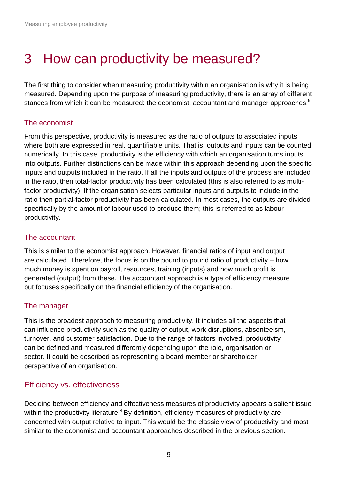## <span id="page-8-0"></span>3 How can productivity be measured?

The first thing to consider when measuring productivity within an organisation is why it is being measured. Depending upon the purpose of measuring productivity, there is an array of different stances from which it can be measured: the economist, accountant and manager approaches.<sup>9</sup>

#### The economist

From this perspective, productivity is measured as the ratio of outputs to associated inputs where both are expressed in real, quantifiable units. That is, outputs and inputs can be counted numerically. In this case, productivity is the efficiency with which an organisation turns inputs into outputs. Further distinctions can be made within this approach depending upon the specific inputs and outputs included in the ratio. If all the inputs and outputs of the process are included in the ratio, then total-factor productivity has been calculated (this is also referred to as multifactor productivity). If the organisation selects particular inputs and outputs to include in the ratio then partial-factor productivity has been calculated. In most cases, the outputs are divided specifically by the amount of labour used to produce them; this is referred to as labour productivity.

#### The accountant

This is similar to the economist approach. However, financial ratios of input and output are calculated. Therefore, the focus is on the pound to pound ratio of productivity – how much money is spent on payroll, resources, training (inputs) and how much profit is generated (output) from these. The accountant approach is a type of efficiency measure but focuses specifically on the financial efficiency of the organisation.

#### The manager

This is the broadest approach to measuring productivity. It includes all the aspects that can influence productivity such as the quality of output, work disruptions, absenteeism, turnover, and customer satisfaction. Due to the range of factors involved, productivity can be defined and measured differently depending upon the role, organisation or sector. It could be described as representing a board member or shareholder perspective of an organisation.

### Efficiency vs. effectiveness

Deciding between efficiency and effectiveness measures of productivity appears a salient issue within the productivity literature.<sup>4</sup> By definition, efficiency measures of productivity are concerned with output relative to input. This would be the classic view of productivity and most similar to the economist and accountant approaches described in the previous section.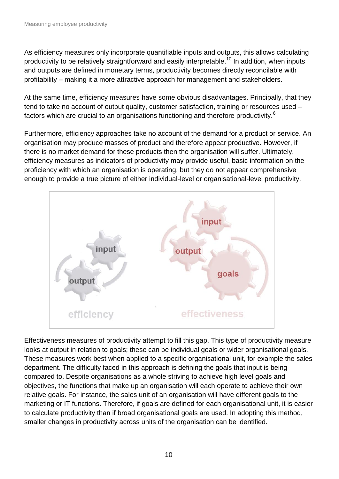As efficiency measures only incorporate quantifiable inputs and outputs, this allows calculating productivity to be relatively straightforward and easily interpretable.<sup>10</sup> In addition, when inputs and outputs are defined in monetary terms, productivity becomes directly reconcilable with profitability – making it a more attractive approach for management and stakeholders.

At the same time, efficiency measures have some obvious disadvantages. Principally, that they tend to take no account of output quality, customer satisfaction, training or resources used – factors which are crucial to an organisations functioning and therefore productivity.<sup>6</sup>

Furthermore, efficiency approaches take no account of the demand for a product or service. An organisation may produce masses of product and therefore appear productive. However, if there is no market demand for these products then the organisation will suffer. Ultimately, efficiency measures as indicators of productivity may provide useful, basic information on the proficiency with which an organisation is operating, but they do not appear comprehensive enough to provide a true picture of either individual-level or organisational-level productivity.



Effectiveness measures of productivity attempt to fill this gap. This type of productivity measure looks at output in relation to goals; these can be individual goals or wider organisational goals. These measures work best when applied to a specific organisational unit, for example the sales department. The difficulty faced in this approach is defining the goals that input is being compared to. Despite organisations as a whole striving to achieve high level goals and objectives, the functions that make up an organisation will each operate to achieve their own relative goals. For instance, the sales unit of an organisation will have different goals to the marketing or IT functions. Therefore, if goals are defined for each organisational unit, it is easier to calculate productivity than if broad organisational goals are used. In adopting this method, smaller changes in productivity across units of the organisation can be identified.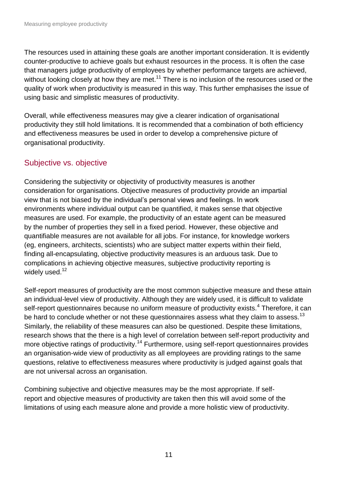The resources used in attaining these goals are another important consideration. It is evidently counter-productive to achieve goals but exhaust resources in the process. It is often the case that managers judge productivity of employees by whether performance targets are achieved, without looking closely at how they are met.<sup>11</sup> There is no inclusion of the resources used or the quality of work when productivity is measured in this way. This further emphasises the issue of using basic and simplistic measures of productivity.

Overall, while effectiveness measures may give a clearer indication of organisational productivity they still hold limitations. It is recommended that a combination of both efficiency and effectiveness measures be used in order to develop a comprehensive picture of organisational productivity.

### Subjective vs. objective

Considering the subjectivity or objectivity of productivity measures is another consideration for organisations. Objective measures of productivity provide an impartial view that is not biased by the individual's personal views and feelings. In work environments where individual output can be quantified, it makes sense that objective measures are used. For example, the productivity of an estate agent can be measured by the number of properties they sell in a fixed period. However, these objective and quantifiable measures are not available for all jobs. For instance, for knowledge workers (eg, engineers, architects, scientists) who are subject matter experts within their field, finding all-encapsulating, objective productivity measures is an arduous task. Due to complications in achieving objective measures, subjective productivity reporting is widely used.<sup>12</sup>

Self-report measures of productivity are the most common subjective measure and these attain an individual-level view of productivity. Although they are widely used, it is difficult to validate self-report questionnaires because no uniform measure of productivity exists.<sup>4</sup> Therefore, it can be hard to conclude whether or not these questionnaires assess what they claim to assess.<sup>13</sup> Similarly, the reliability of these measures can also be questioned. Despite these limitations, research shows that the there is a high level of correlation between self-report productivity and more objective ratings of productivity.<sup>14</sup> Furthermore, using self-report questionnaires provides an organisation-wide view of productivity as all employees are providing ratings to the same questions, relative to effectiveness measures where productivity is judged against goals that are not universal across an organisation.

Combining subjective and objective measures may be the most appropriate. If selfreport and objective measures of productivity are taken then this will avoid some of the limitations of using each measure alone and provide a more holistic view of productivity.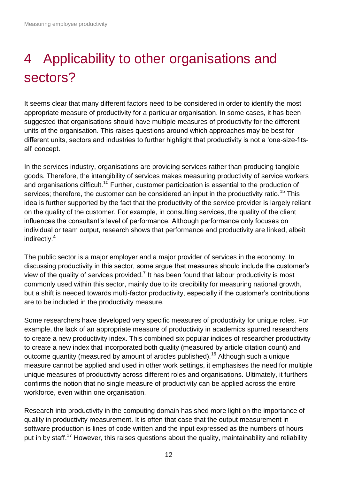# <span id="page-11-0"></span>4 Applicability to other organisations and sectors?

It seems clear that many different factors need to be considered in order to identify the most appropriate measure of productivity for a particular organisation. In some cases, it has been suggested that organisations should have multiple measures of productivity for the different units of the organisation. This raises questions around which approaches may be best for different units, sectors and industries to further highlight that productivity is not a 'one-size-fitsall' concept.

In the services industry, organisations are providing services rather than producing tangible goods. Therefore, the intangibility of services makes measuring productivity of service workers and organisations difficult.<sup>10</sup> Further, customer participation is essential to the production of services; therefore, the customer can be considered an input in the productivity ratio.<sup>15</sup> This idea is further supported by the fact that the productivity of the service provider is largely reliant on the quality of the customer. For example, in consulting services, the quality of the client influences the consultant's level of performance. Although performance only focuses on individual or team output, research shows that performance and productivity are linked, albeit indirectly.<sup>4</sup>

The public sector is a major employer and a major provider of services in the economy. In discussing productivity in this sector, some argue that measures should include the customer's view of the quality of services provided.<sup>7</sup> It has been found that labour productivity is most commonly used within this sector, mainly due to its credibility for measuring national growth, but a shift is needed towards multi-factor productivity, especially if the customer's contributions are to be included in the productivity measure.

Some researchers have developed very specific measures of productivity for unique roles. For example, the lack of an appropriate measure of productivity in academics spurred researchers to create a new productivity index. This combined six popular indices of researcher productivity to create a new index that incorporated both quality (measured by article citation count) and outcome quantity (measured by amount of articles published).<sup>16</sup> Although such a unique measure cannot be applied and used in other work settings, it emphasises the need for multiple unique measures of productivity across different roles and organisations. Ultimately, it furthers confirms the notion that no single measure of productivity can be applied across the entire workforce, even within one organisation.

Research into productivity in the computing domain has shed more light on the importance of quality in productivity measurement. It is often that case that the output measurement in software production is lines of code written and the input expressed as the numbers of hours put in by staff.<sup>17</sup> However, this raises questions about the quality, maintainability and reliability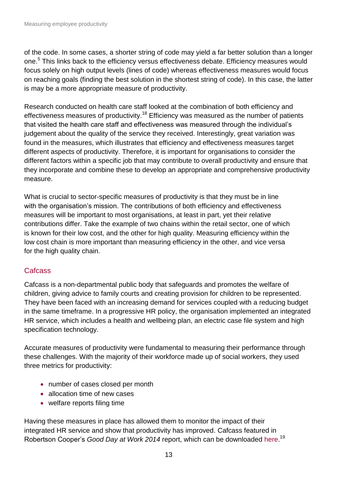of the code. In some cases, a shorter string of code may yield a far better solution than a longer one.<sup>5</sup> This links back to the efficiency versus effectiveness debate. Efficiency measures would focus solely on high output levels (lines of code) whereas effectiveness measures would focus on reaching goals (finding the best solution in the shortest string of code). In this case, the latter is may be a more appropriate measure of productivity.

Research conducted on health care staff looked at the combination of both efficiency and effectiveness measures of productivity.<sup>18</sup> Efficiency was measured as the number of patients that visited the health care staff and effectiveness was measured through the individual's judgement about the quality of the service they received. Interestingly, great variation was found in the measures, which illustrates that efficiency and effectiveness measures target different aspects of productivity. Therefore, it is important for organisations to consider the different factors within a specific job that may contribute to overall productivity and ensure that they incorporate and combine these to develop an appropriate and comprehensive productivity measure.

What is crucial to sector-specific measures of productivity is that they must be in line with the organisation's mission. The contributions of both efficiency and effectiveness measures will be important to most organisations, at least in part, yet their relative contributions differ. Take the example of two chains within the retail sector, one of which is known for their low cost, and the other for high quality. Measuring efficiency within the low cost chain is more important than measuring efficiency in the other, and vice versa for the high quality chain.

### **Cafcass**

Cafcass is a non-departmental public body that safeguards and promotes the welfare of children, giving advice to family courts and creating provision for children to be represented. They have been faced with an increasing demand for services coupled with a reducing budget in the same timeframe. In a progressive HR policy, the organisation implemented an integrated HR service, which includes a health and wellbeing plan, an electric case file system and high specification technology.

Accurate measures of productivity were fundamental to measuring their performance through these challenges. With the majority of their workforce made up of social workers, they used three metrics for productivity:

- number of cases closed per month
- allocation time of new cases
- welfare reports filing time

Having these measures in place has allowed them to monitor the impact of their integrated HR service and show that productivity has improved. Cafcass featured in Robertson Cooper's *Good Day at Work 2014* report, which can be downloaded [here.](http://www.robertsoncooper.com/free-good-day-at-work-annual-report-2014) 19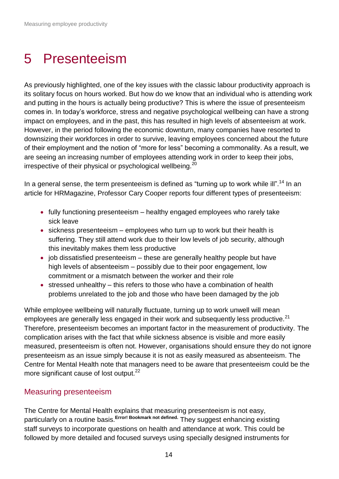### <span id="page-13-0"></span>5 Presenteeism

As previously highlighted, one of the key issues with the classic labour productivity approach is its solitary focus on hours worked. But how do we know that an individual who is attending work and putting in the hours is actually being productive? This is where the issue of presenteeism comes in. In today's workforce, stress and negative psychological wellbeing can have a strong impact on employees, and in the past, this has resulted in high levels of absenteeism at work. However, in the period following the economic downturn, many companies have resorted to downsizing their workforces in order to survive, leaving employees concerned about the future of their employment and the notion of "more for less" becoming a commonality. As a result, we are seeing an increasing number of employees attending work in order to keep their jobs, irrespective of their physical or psychological wellbeing.<sup>20</sup>

In a general sense, the term presenteeism is defined as "turning up to work while ill".<sup>14</sup> In an article for HRMagazine, Professor Cary Cooper reports four different types of presenteeism:

- fully functioning presenteeism healthy engaged employees who rarely take sick leave
- sickness presenteeism employees who turn up to work but their health is suffering. They still attend work due to their low levels of job security, although this inevitably makes them less productive
- $\bullet$  job dissatisfied presenteeism these are generally healthy people but have high levels of absenteeism – possibly due to their poor engagement, low commitment or a mismatch between the worker and their role
- stressed unhealthy this refers to those who have a combination of health problems unrelated to the job and those who have been damaged by the job

While employee wellbeing will naturally fluctuate, turning up to work unwell will mean employees are generally less engaged in their work and subsequently less productive.<sup>21</sup> Therefore, presenteeism becomes an important factor in the measurement of productivity. The complication arises with the fact that while sickness absence is visible and more easily measured, presenteeism is often not. However, organisations should ensure they do not ignore presenteeism as an issue simply because it is not as easily measured as absenteeism. The Centre for Mental Health note that managers need to be aware that presenteeism could be the more significant cause of lost output.<sup>22</sup>

### Measuring presenteeism

The Centre for Mental Health explains that measuring presenteeism is not easy, particularly on a routine basis.**Error! Bookmark not defined.** They suggest enhancing existing staff surveys to incorporate questions on health and attendance at work. This could be followed by more detailed and focused surveys using specially designed instruments for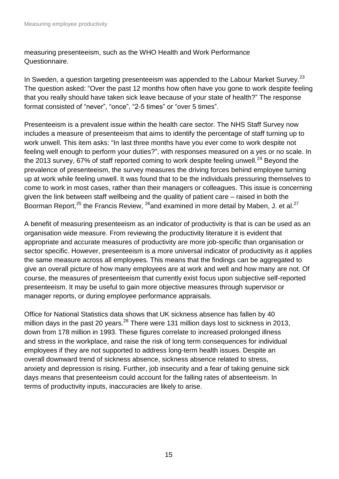measuring presenteeism, such as the WHO Health and Work Performance Questionnaire.

In Sweden, a question targeting presenteeism was appended to the Labour Market Survey.<sup>23</sup> The question asked: "Over the past 12 months how often have you gone to work despite feeling that you really should have taken sick leave because of your state of health?" The response format consisted of "never", "once", "2-5 times" or "over 5 times".

Presenteeism is a prevalent issue within the health care sector. The NHS Staff Survey now includes a measure of presenteeism that aims to identify the percentage of staff turning up to work unwell. This item asks: "In last three months have you ever come to work despite not feeling well enough to perform your duties?", with responses measured on a yes or no scale. In the 2013 survey, 67% of staff reported coming to work despite feeling unwell.<sup>24</sup> Beyond the prevalence of presenteeism, the survey measures the driving forces behind employee turning up at work while feeling unwell. It was found that to be the individuals pressuring themselves to come to work in most cases, rather than their managers or colleagues. This issue is concerning given the link between staff wellbeing and the quality of patient care – raised in both the Boorman Report, $^{25}$  the Francis Review,  $^{26}$  and examined in more detail by Maben, J. et al.<sup>27</sup>

A benefit of measuring presenteeism as an indicator of productivity is that is can be used as an organisation wide measure. From reviewing the productivity literature it is evident that appropriate and accurate measures of productivity are more job-specific than organisation or sector specific. However, presenteeism is a more universal indicator of productivity as it applies the same measure across all employees. This means that the findings can be aggregated to give an overall picture of how many employees are at work and well and how many are not. Of course, the measures of presenteeism that currently exist focus upon subjective self-reported presenteeism. It may be useful to gain more objective measures through supervisor or manager reports, or during employee performance appraisals.

Office for National Statistics data shows that UK sickness absence has fallen by 40 million days in the past 20 years. $^{28}$  There were 131 million days lost to sickness in 2013, down from 178 million in 1993. These figures correlate to increased prolonged illness and stress in the workplace, and raise the risk of long term consequences for individual employees if they are not supported to address long-term health issues. Despite an overall downward trend of sickness absence, sickness absence related to stress, anxiety and depression is rising. Further, job insecurity and a fear of taking genuine sick days means that presenteeism could account for the falling rates of absenteeism. In terms of productivity inputs, inaccuracies are likely to arise.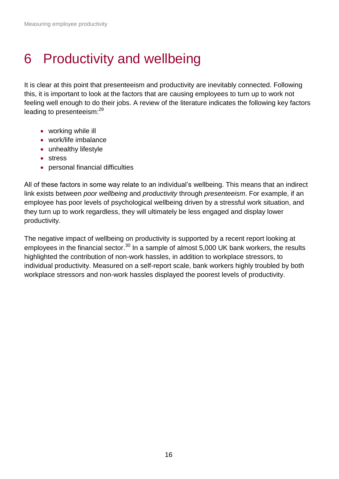## <span id="page-15-0"></span>6 Productivity and wellbeing

It is clear at this point that presenteeism and productivity are inevitably connected. Following this, it is important to look at the factors that are causing employees to turn up to work not feeling well enough to do their jobs. A review of the literature indicates the following key factors leading to presenteeism:<sup>29</sup>

- working while ill
- work/life imbalance
- unhealthy lifestyle
- stress
- personal financial difficulties

All of these factors in some way relate to an individual's wellbeing. This means that an indirect link exists between *poor wellbeing* and *productivity* through *presenteeism*. For example, if an employee has poor levels of psychological wellbeing driven by a stressful work situation, and they turn up to work regardless, they will ultimately be less engaged and display lower productivity.

The negative impact of wellbeing on productivity is supported by a recent report looking at employees in the financial sector.<sup>30</sup> In a sample of almost 5,000 UK bank workers, the results highlighted the contribution of non-work hassles, in addition to workplace stressors, to individual productivity. Measured on a self-report scale, bank workers highly troubled by both workplace stressors and non-work hassles displayed the poorest levels of productivity.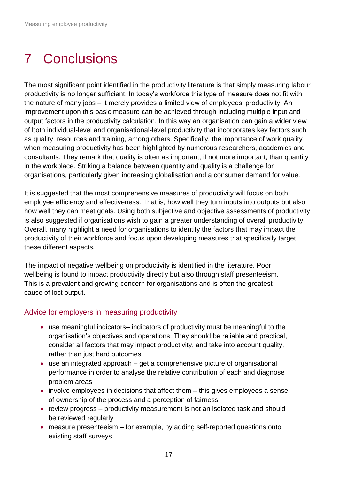## <span id="page-16-0"></span>7 Conclusions

The most significant point identified in the productivity literature is that simply measuring labour productivity is no longer sufficient. In today's workforce this type of measure does not fit with the nature of many jobs – it merely provides a limited view of employees' productivity. An improvement upon this basic measure can be achieved through including multiple input and output factors in the productivity calculation. In this way an organisation can gain a wider view of both individual-level and organisational-level productivity that incorporates key factors such as quality, resources and training, among others. Specifically, the importance of work quality when measuring productivity has been highlighted by numerous researchers, academics and consultants. They remark that quality is often as important, if not more important, than quantity in the workplace. Striking a balance between quantity and quality is a challenge for organisations, particularly given increasing globalisation and a consumer demand for value.

It is suggested that the most comprehensive measures of productivity will focus on both employee efficiency and effectiveness. That is, how well they turn inputs into outputs but also how well they can meet goals. Using both subjective and objective assessments of productivity is also suggested if organisations wish to gain a greater understanding of overall productivity. Overall, many highlight a need for organisations to identify the factors that may impact the productivity of their workforce and focus upon developing measures that specifically target these different aspects.

The impact of negative wellbeing on productivity is identified in the literature. Poor wellbeing is found to impact productivity directly but also through staff presenteeism. This is a prevalent and growing concern for organisations and is often the greatest cause of lost output.

#### Advice for employers in measuring productivity

- use meaningful indicators– indicators of productivity must be meaningful to the organisation's objectives and operations. They should be reliable and practical, consider all factors that may impact productivity, and take into account quality, rather than just hard outcomes
- use an integrated approach get a comprehensive picture of organisational performance in order to analyse the relative contribution of each and diagnose problem areas
- involve employees in decisions that affect them this gives employees a sense of ownership of the process and a perception of fairness
- review progress productivity measurement is not an isolated task and should be reviewed regularly
- measure presenteeism for example, by adding self-reported questions onto existing staff surveys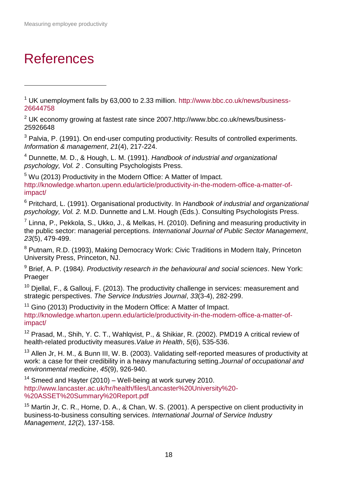## <span id="page-17-0"></span>References

l

 $1$  UK unemployment falls by 63,000 to 2.33 million. [http://www.bbc.co.uk/news/business-](http://www.bbc.co.uk/news/business-26644758)[26644758](http://www.bbc.co.uk/news/business-26644758) 

 $2$  UK economy growing at fastest rate since 2007.http://www.bbc.co.uk/news/business-25926648

 $3$  Palvia, P. (1991). On end-user computing productivity: Results of controlled experiments. *Information & management*, *21*(4), 217-224.

<sup>4</sup> Dunnette, M. D., & Hough, L. M. (1991). *Handbook of industrial and organizational psychology, Vol. 2* . Consulting Psychologists Press.

<sup>5</sup> Wu (2013) Productivity in the Modern Office: A Matter of Impact. [http://knowledge.wharton.upenn.edu/article/productivity-in-the-modern-office-a-matter-of](http://knowledge.wharton.upenn.edu/article/productivity-in-the-modern-office-a-matter-of-impact/)[impact/](http://knowledge.wharton.upenn.edu/article/productivity-in-the-modern-office-a-matter-of-impact/)

<sup>6</sup> Pritchard, L. (1991). Organisational productivity. In *Handbook of industrial and organizational psychology, Vol. 2.* M.D. Dunnette and L.M. Hough (Eds.). Consulting Psychologists Press.

 $^7$  Linna, P., Pekkola, S., Ukko, J., & Melkas, H. (2010). Defining and measuring productivity in the public sector: managerial perceptions. *International Journal of Public Sector Management*, *23*(5), 479-499.

<sup>8</sup> Putnam, R.D. (1993), Making Democracy Work: Civic Traditions in Modern Italy, Princeton University Press, Princeton, NJ.

<sup>9</sup> Brief, A. P. (1984*). Productivity research in the behavioural and social sciences*. New York: Praeger

 $10$  Djellal, F., & Gallouj, F. (2013). The productivity challenge in services: measurement and strategic perspectives. *The Service Industries Journal*, *33*(3-4), 282-299.

<sup>11</sup> Gino (2013) Productivity in the Modern Office: A Matter of Impact. [http://knowledge.wharton.upenn.edu/article/productivity-in-the-modern-office-a-matter-of](http://knowledge.wharton.upenn.edu/article/productivity-in-the-modern-office-a-matter-of-impact/)[impact/](http://knowledge.wharton.upenn.edu/article/productivity-in-the-modern-office-a-matter-of-impact/) 

<sup>12</sup> Prasad, M., Shih, Y. C. T., Wahlqvist, P., & Shikiar, R. (2002). PMD19 A critical review of health-related productivity measures.*Value in Health*, *5*(6), 535-536.

<sup>13</sup> Allen Jr, H. M., & Bunn III, W. B. (2003). Validating self-reported measures of productivity at work: a case for their credibility in a heavy manufacturing setting.*Journal of occupational and environmental medicine*, *45*(9), 926-940.

 $14$  Smeed and Hayter (2010) – Well-being at work survey 2010. [http://www.lancaster.ac.uk/hr/health/files/Lancaster%20University%20-](http://www.lancaster.ac.uk/hr/health/files/Lancaster%20University%20-%20ASSET%20Summary%20Report.pdf) [%20ASSET%20Summary%20Report.pdf](http://www.lancaster.ac.uk/hr/health/files/Lancaster%20University%20-%20ASSET%20Summary%20Report.pdf)

<sup>15</sup> Martin Jr, C. R., Horne, D. A., & Chan, W. S. (2001). A perspective on client productivity in business-to-business consulting services. *International Journal of Service Industry Management*, *12*(2), 137-158.